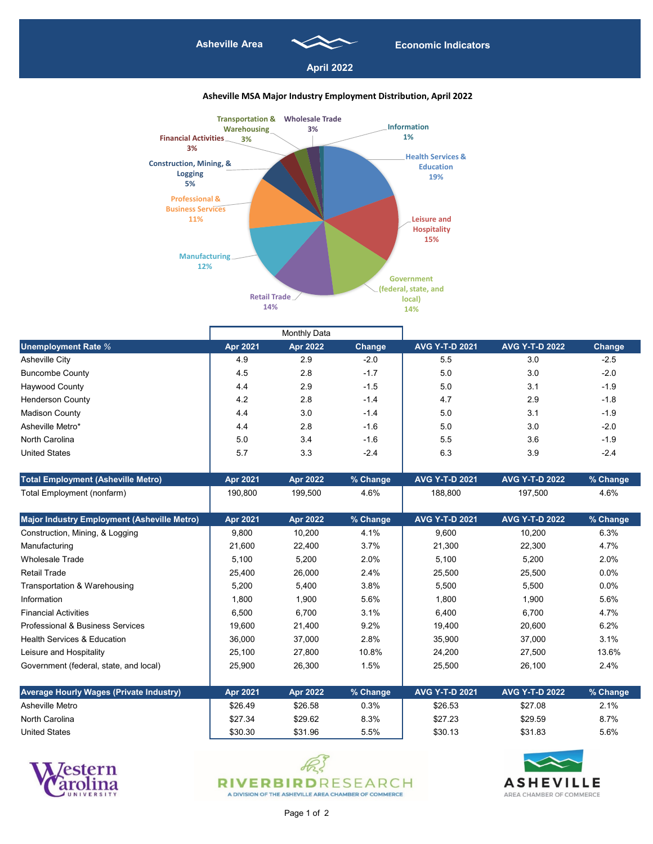|                                                | <b>Monthly Data</b> |                 |               |                       |                       |               |
|------------------------------------------------|---------------------|-----------------|---------------|-----------------------|-----------------------|---------------|
| <b>Unemployment Rate %</b>                     | <b>Apr 2021</b>     | <b>Apr 2022</b> | <b>Change</b> | <b>AVG Y-T-D 2021</b> | <b>AVG Y-T-D 2022</b> | <b>Change</b> |
| <b>Asheville City</b>                          | 4.9                 | 2.9             | $-2.0$        | 5.5                   | 3.0                   | $-2.5$        |
| <b>Buncombe County</b>                         | 4.5                 | 2.8             | $-1.7$        | 5.0                   | 3.0                   | $-2.0$        |
| <b>Haywood County</b>                          | 4.4                 | 2.9             | $-1.5$        | 5.0                   | 3.1                   | $-1.9$        |
| <b>Henderson County</b>                        | 4.2                 | 2.8             | $-1.4$        | 4.7                   | 2.9                   | $-1.8$        |
| <b>Madison County</b>                          | 4.4                 | 3.0             | $-1.4$        | 5.0                   | 3.1                   | $-1.9$        |
| Asheville Metro*                               | 4.4                 | 2.8             | $-1.6$        | 5.0                   | 3.0                   | $-2.0$        |
| <b>North Carolina</b>                          | 5.0                 | 3.4             | $-1.6$        | 5.5                   | 3.6                   | $-1.9$        |
| <b>United States</b>                           | 5.7                 | 3.3             | $-2.4$        | 6.3                   | 3.9                   | $-2.4$        |
| <b>Total Employment (Asheville Metro)</b>      | <b>Apr 2021</b>     | <b>Apr 2022</b> | % Change      | <b>AVG Y-T-D 2021</b> | <b>AVG Y-T-D 2022</b> | % Change      |
| Total Employment (nonfarm)                     | 190,800             | 199,500         | 4.6%          | 188,800               | 197,500               | 4.6%          |
| Major Industry Employment (Asheville Metro)    | <b>Apr 2021</b>     | <b>Apr 2022</b> | % Change      | <b>AVG Y-T-D 2021</b> | <b>AVG Y-T-D 2022</b> | % Change      |
| Construction, Mining, & Logging                | 9,800               | 10,200          | 4.1%          | 9,600                 | 10,200                | 6.3%          |
| Manufacturing                                  | 21,600              | 22,400          | 3.7%          | 21,300                | 22,300                | 4.7%          |
| <b>Wholesale Trade</b>                         | 5,100               | 5,200           | 2.0%          | 5,100                 | 5,200                 | 2.0%          |
| <b>Retail Trade</b>                            | 25,400              | 26,000          | 2.4%          | 25,500                | 25,500                | $0.0\%$       |
| <b>Transportation &amp; Warehousing</b>        | 5,200               | 5,400           | 3.8%          | 5,500                 | 5,500                 | 0.0%          |
| Information                                    | 1,800               | 1,900           | 5.6%          | 1,800                 | 1,900                 | 5.6%          |
| <b>Financial Activities</b>                    | 6,500               | 6,700           | 3.1%          | 6,400                 | 6,700                 | 4.7%          |
| <b>Professional &amp; Business Services</b>    | 19,600              | 21,400          | 9.2%          | 19,400                | 20,600                | 6.2%          |
| <b>Health Services &amp; Education</b>         | 36,000              | 37,000          | 2.8%          | 35,900                | 37,000                | 3.1%          |
| Leisure and Hospitality                        | 25,100              | 27,800          | 10.8%         | 24,200                | 27,500                | 13.6%         |
| Government (federal, state, and local)         | 25,900              | 26,300          | 1.5%          | 25,500                | 26,100                | 2.4%          |
| <b>Average Hourly Wages (Private Industry)</b> | <b>Apr 2021</b>     | <b>Apr 2022</b> | % Change      | <b>AVG Y-T-D 2021</b> | <b>AVG Y-T-D 2022</b> | % Change      |
| <b>Asheville Metro</b>                         | \$26.49             | \$26.58         | 0.3%          | \$26.53               | \$27.08               | 2.1%          |
| <b>North Carolina</b>                          | \$27.34             | \$29.62         | 8.3%          | \$27.23               | \$29.59               | 8.7%          |
| <b>United States</b>                           | \$30.30             | \$31.96         | 5.5%          | \$30.13               | \$31.83               | 5.6%          |







Page 1 of 2



## **Asheville MSA Major Industry Employment Distribution, April 2022**